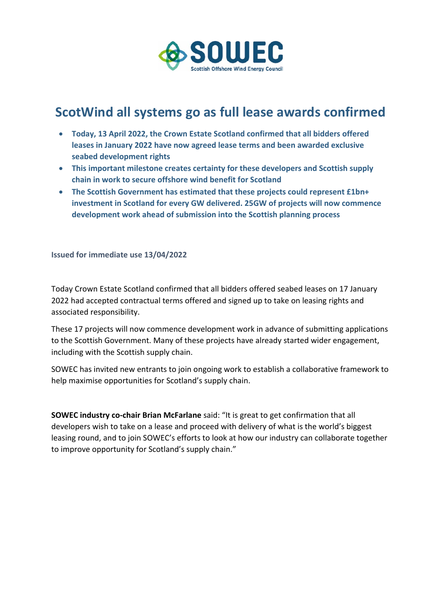

## **ScotWind all systems go as full lease awards confirmed**

- **Today, 13 April 2022, the Crown Estate Scotland confirmed that all bidders offered leases in January 2022 have now agreed lease terms and been awarded exclusive seabed development rights**
- **This important milestone creates certainty for these developers and Scottish supply chain in work to secure offshore wind benefit for Scotland**
- **The Scottish Government has estimated that these projects could represent £1bn+ investment in Scotland for every GW delivered. 25GW of projects will now commence development work ahead of submission into the Scottish planning process**

**Issued for immediate use 13/04/2022**

Today Crown Estate Scotland confirmed that all bidders offered seabed leases on 17 January 2022 had accepted contractual terms offered and signed up to take on leasing rights and associated responsibility.

These 17 projects will now commence development work in advance of submitting applications to the Scottish Government. Many of these projects have already started wider engagement, including with the Scottish supply chain.

SOWEC has invited new entrants to join ongoing work to establish a collaborative framework to help maximise opportunities for Scotland's supply chain.

**SOWEC industry co-chair Brian McFarlane** said: "It is great to get confirmation that all developers wish to take on a lease and proceed with delivery of what is the world's biggest leasing round, and to join SOWEC's efforts to look at how our industry can collaborate together to improve opportunity for Scotland's supply chain."